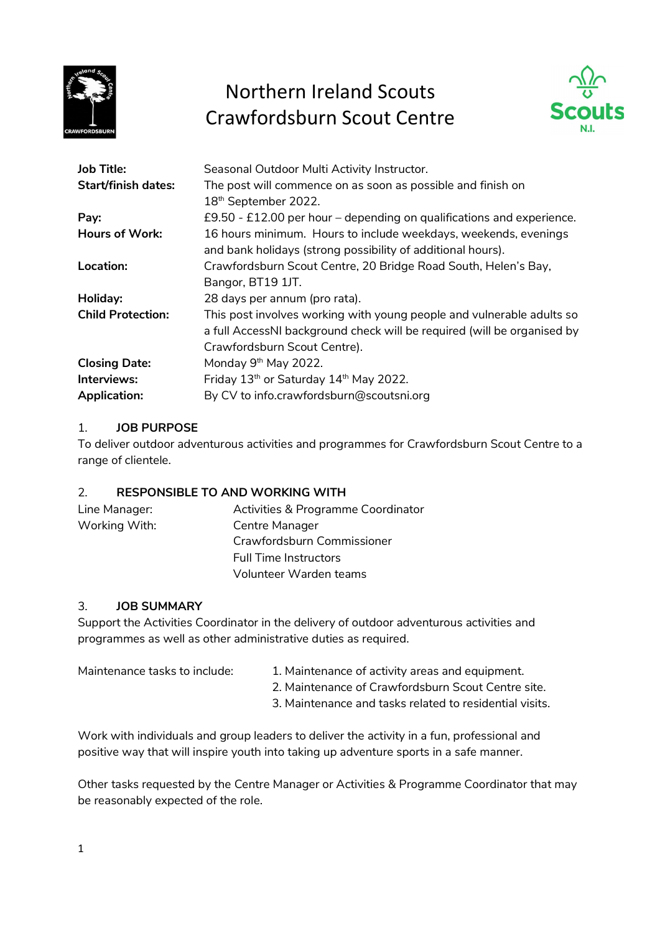

## Northern Ireland Scouts Crawfordsburn Scout Centre



| <b>Job Title:</b>          | Seasonal Outdoor Multi Activity Instructor.                             |  |
|----------------------------|-------------------------------------------------------------------------|--|
| <b>Start/finish dates:</b> | The post will commence on as soon as possible and finish on             |  |
|                            | 18 <sup>th</sup> September 2022.                                        |  |
| Pay:                       | £9.50 - £12.00 per hour – depending on qualifications and experience.   |  |
| <b>Hours of Work:</b>      | 16 hours minimum. Hours to include weekdays, weekends, evenings         |  |
|                            | and bank holidays (strong possibility of additional hours).             |  |
| Location:                  | Crawfordsburn Scout Centre, 20 Bridge Road South, Helen's Bay,          |  |
|                            | Bangor, BT19 1JT.                                                       |  |
| Holiday:                   | 28 days per annum (pro rata).                                           |  |
| <b>Child Protection:</b>   | This post involves working with young people and vulnerable adults so   |  |
|                            | a full AccessNI background check will be required (will be organised by |  |
|                            | Crawfordsburn Scout Centre).                                            |  |
| <b>Closing Date:</b>       | Monday 9 <sup>th</sup> May 2022.                                        |  |
| Interviews:                | Friday 13th or Saturday 14th May 2022.                                  |  |
| <b>Application:</b>        | By CV to info.crawfordsburn@scoutsni.org                                |  |

## 1. JOB PURPOSE

To deliver outdoor adventurous activities and programmes for Crawfordsburn Scout Centre to a range of clientele.

## 2. RESPONSIBLE TO AND WORKING WITH

| Line Manager: | Activities & Programme Coordinator |
|---------------|------------------------------------|
| Working With: | Centre Manager                     |
|               | Crawfordsburn Commissioner         |
|               | <b>Full Time Instructors</b>       |
|               | Volunteer Warden teams             |

## 3. JOB SUMMARY

Support the Activities Coordinator in the delivery of outdoor adventurous activities and programmes as well as other administrative duties as required.

- Maintenance tasks to include: 1. Maintenance of activity areas and equipment.
	- 2. Maintenance of Crawfordsburn Scout Centre site.
	- 3. Maintenance and tasks related to residential visits.

Work with individuals and group leaders to deliver the activity in a fun, professional and positive way that will inspire youth into taking up adventure sports in a safe manner.

Other tasks requested by the Centre Manager or Activities & Programme Coordinator that may be reasonably expected of the role.